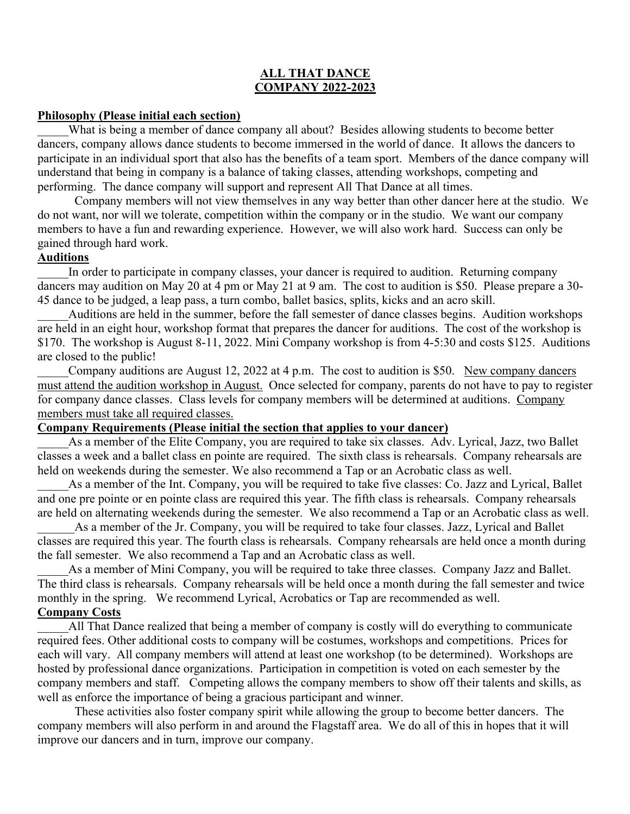### **ALL THAT DANCE COMPANY 2022-2023**

#### **Philosophy (Please initial each section)**

What is being a member of dance company all about? Besides allowing students to become better dancers, company allows dance students to become immersed in the world of dance. It allows the dancers to participate in an individual sport that also has the benefits of a team sport. Members of the dance company will understand that being in company is a balance of taking classes, attending workshops, competing and performing. The dance company will support and represent All That Dance at all times.

Company members will not view themselves in any way better than other dancer here at the studio. We do not want, nor will we tolerate, competition within the company or in the studio. We want our company members to have a fun and rewarding experience. However, we will also work hard. Success can only be gained through hard work.

### **Auditions**

In order to participate in company classes, your dancer is required to audition. Returning company dancers may audition on May 20 at 4 pm or May 21 at 9 am. The cost to audition is \$50. Please prepare a 30- 45 dance to be judged, a leap pass, a turn combo, ballet basics, splits, kicks and an acro skill.

Auditions are held in the summer, before the fall semester of dance classes begins. Audition workshops are held in an eight hour, workshop format that prepares the dancer for auditions. The cost of the workshop is \$170. The workshop is August 8-11, 2022. Mini Company workshop is from 4-5:30 and costs \$125. Auditions are closed to the public!

Company auditions are August 12, 2022 at 4 p.m. The cost to audition is \$50. New company dancers must attend the audition workshop in August. Once selected for company, parents do not have to pay to register for company dance classes. Class levels for company members will be determined at auditions. Company members must take all required classes.

## **Company Requirements (Please initial the section that applies to your dancer)**

As a member of the Elite Company, you are required to take six classes. Adv. Lyrical, Jazz, two Ballet classes a week and a ballet class en pointe are required. The sixth class is rehearsals. Company rehearsals are held on weekends during the semester. We also recommend a Tap or an Acrobatic class as well.

As a member of the Int. Company, you will be required to take five classes: Co. Jazz and Lyrical, Ballet and one pre pointe or en pointe class are required this year. The fifth class is rehearsals. Company rehearsals are held on alternating weekends during the semester. We also recommend a Tap or an Acrobatic class as well.

As a member of the Jr. Company, you will be required to take four classes. Jazz, Lyrical and Ballet classes are required this year. The fourth class is rehearsals. Company rehearsals are held once a month during the fall semester. We also recommend a Tap and an Acrobatic class as well.

As a member of Mini Company, you will be required to take three classes. Company Jazz and Ballet. The third class is rehearsals. Company rehearsals will be held once a month during the fall semester and twice monthly in the spring. We recommend Lyrical, Acrobatics or Tap are recommended as well. **Company Costs**

\_\_\_\_\_All That Dance realized that being a member of company is costly will do everything to communicate required fees. Other additional costs to company will be costumes, workshops and competitions. Prices for each will vary. All company members will attend at least one workshop (to be determined). Workshops are hosted by professional dance organizations. Participation in competition is voted on each semester by the company members and staff. Competing allows the company members to show off their talents and skills, as well as enforce the importance of being a gracious participant and winner.

These activities also foster company spirit while allowing the group to become better dancers. The company members will also perform in and around the Flagstaff area. We do all of this in hopes that it will improve our dancers and in turn, improve our company.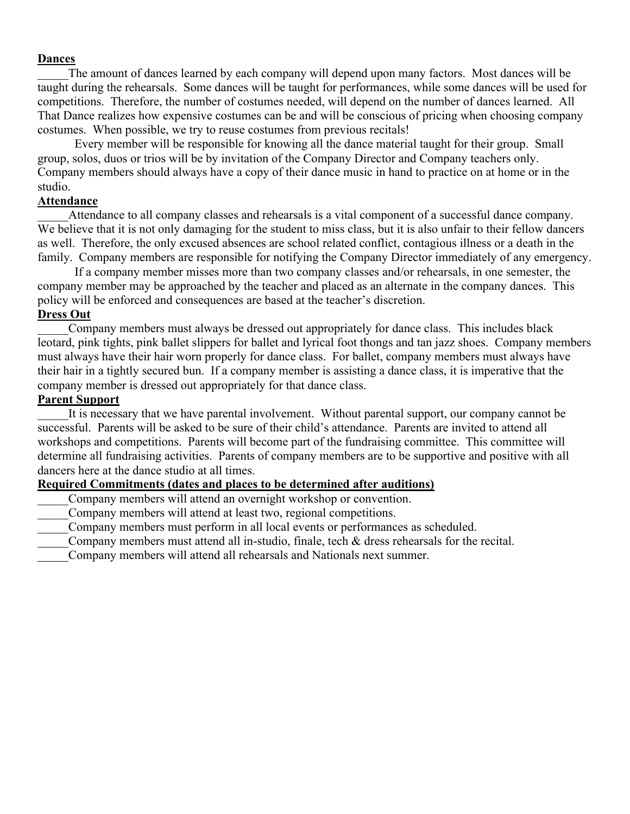### **Dances**

The amount of dances learned by each company will depend upon many factors. Most dances will be taught during the rehearsals. Some dances will be taught for performances, while some dances will be used for competitions. Therefore, the number of costumes needed, will depend on the number of dances learned. All That Dance realizes how expensive costumes can be and will be conscious of pricing when choosing company costumes. When possible, we try to reuse costumes from previous recitals!

Every member will be responsible for knowing all the dance material taught for their group. Small group, solos, duos or trios will be by invitation of the Company Director and Company teachers only. Company members should always have a copy of their dance music in hand to practice on at home or in the studio.

## **Attendance**

Attendance to all company classes and rehearsals is a vital component of a successful dance company. We believe that it is not only damaging for the student to miss class, but it is also unfair to their fellow dancers as well. Therefore, the only excused absences are school related conflict, contagious illness or a death in the family. Company members are responsible for notifying the Company Director immediately of any emergency.

If a company member misses more than two company classes and/or rehearsals, in one semester, the company member may be approached by the teacher and placed as an alternate in the company dances. This policy will be enforced and consequences are based at the teacher's discretion.

# **Dress Out**

\_\_\_\_\_Company members must always be dressed out appropriately for dance class. This includes black leotard, pink tights, pink ballet slippers for ballet and lyrical foot thongs and tan jazz shoes. Company members must always have their hair worn properly for dance class. For ballet, company members must always have their hair in a tightly secured bun. If a company member is assisting a dance class, it is imperative that the company member is dressed out appropriately for that dance class.

# **Parent Support**

It is necessary that we have parental involvement. Without parental support, our company cannot be successful. Parents will be asked to be sure of their child's attendance. Parents are invited to attend all workshops and competitions. Parents will become part of the fundraising committee. This committee will determine all fundraising activities. Parents of company members are to be supportive and positive with all dancers here at the dance studio at all times.

# **Required Commitments (dates and places to be determined after auditions)**

- Company members will attend an overnight workshop or convention.
- Company members will attend at least two, regional competitions.
- \_\_\_\_\_Company members must perform in all local events or performances as scheduled.
- Company members must attend all in-studio, finale, tech & dress rehearsals for the recital.
- \_\_\_\_\_Company members will attend all rehearsals and Nationals next summer.